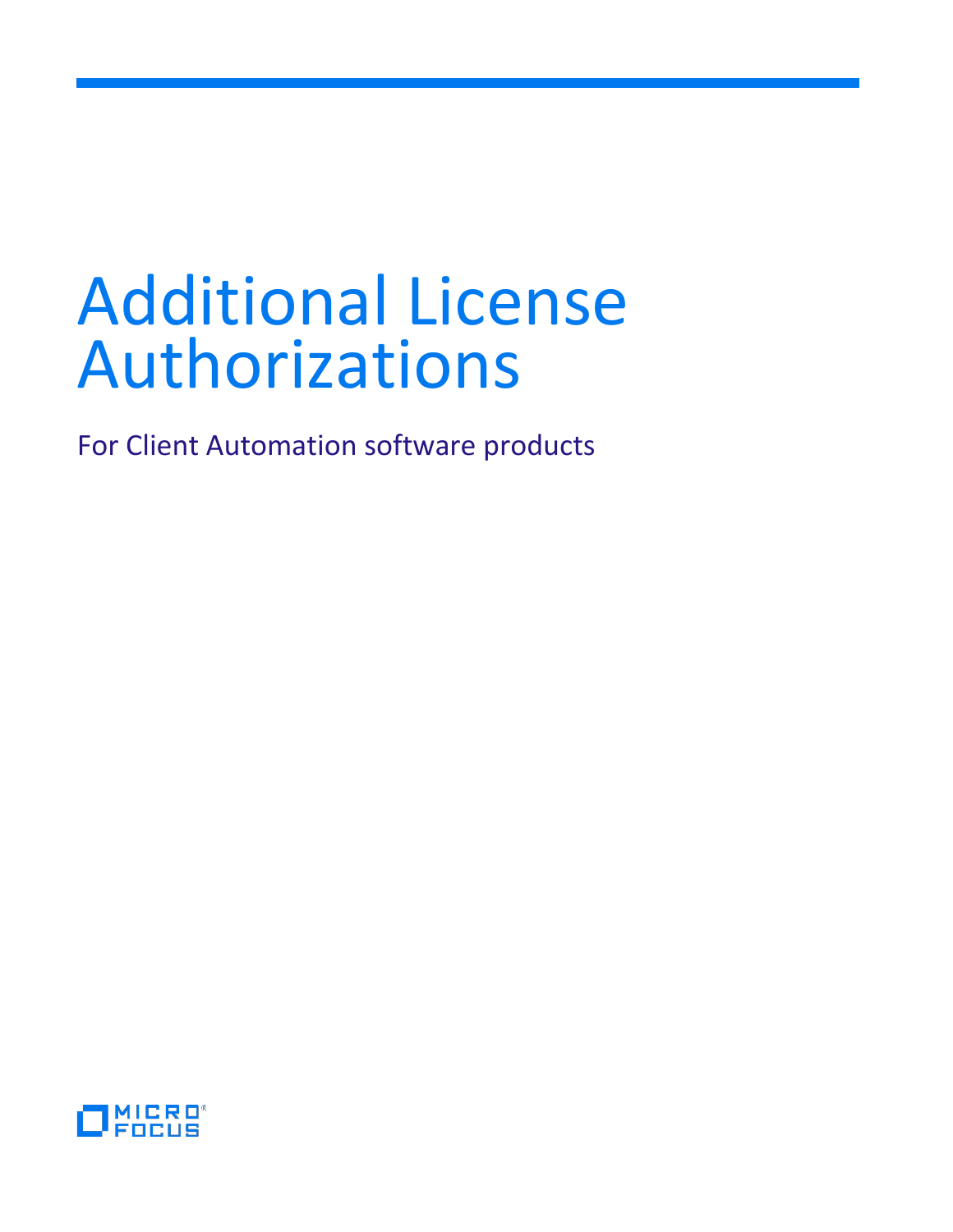# Additional License Authorizations

For Client Automation software products

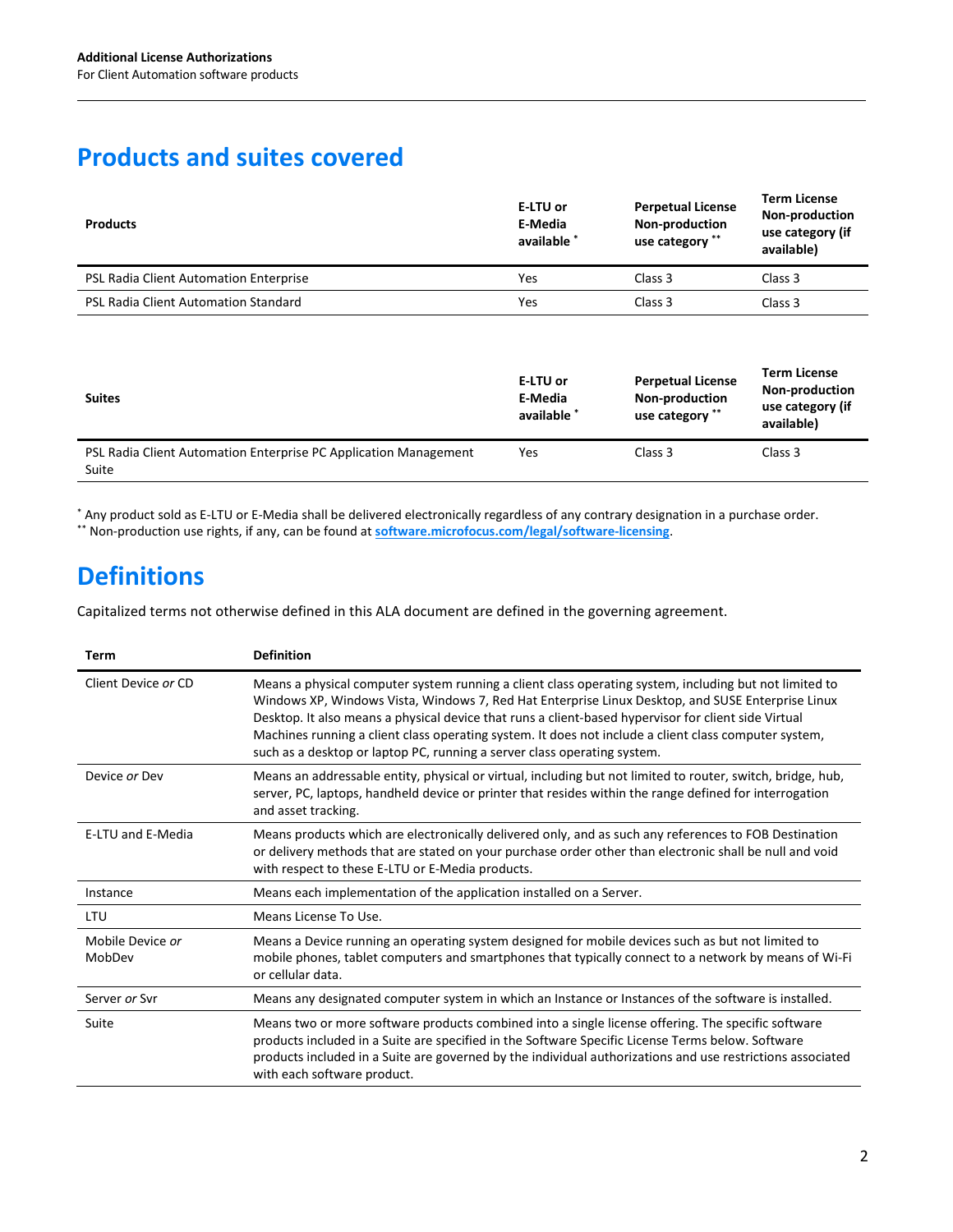## **Products and suites covered**

| <b>Products</b>                        | E-LTU or<br>E-Media<br>available * | <b>Perpetual License</b><br>Non-production<br>use category ** | <b>Term License</b><br>Non-production<br>use category (if<br>available) |
|----------------------------------------|------------------------------------|---------------------------------------------------------------|-------------------------------------------------------------------------|
| PSL Radia Client Automation Enterprise | Yes                                | Class 3                                                       | Class 3                                                                 |
| PSL Radia Client Automation Standard   | Yes                                | Class 3                                                       | Class 3                                                                 |

| <b>Suites</b>                                                             | E-LTU or<br>E-Media<br>available * | <b>Perpetual License</b><br>Non-production<br>use category ** | <b>Term License</b><br><b>Non-production</b><br>use category (if<br>available) |
|---------------------------------------------------------------------------|------------------------------------|---------------------------------------------------------------|--------------------------------------------------------------------------------|
| PSL Radia Client Automation Enterprise PC Application Management<br>Suite | Yes                                | Class 3                                                       | Class 3                                                                        |

\* Any product sold as E-LTU or E-Media shall be delivered electronically regardless of any contrary designation in a purchase order. \*\* Non-production use rights, if any, can be found at **[software.microfocus.com/legal/software-licensing](https://software.microfocus.com/legal/software-licensing)**.

# **Definitions**

Capitalized terms not otherwise defined in this ALA document are defined in the governing agreement.

| Term                       | <b>Definition</b>                                                                                                                                                                                                                                                                                                                                                                                                                                                                                        |
|----------------------------|----------------------------------------------------------------------------------------------------------------------------------------------------------------------------------------------------------------------------------------------------------------------------------------------------------------------------------------------------------------------------------------------------------------------------------------------------------------------------------------------------------|
| Client Device or CD        | Means a physical computer system running a client class operating system, including but not limited to<br>Windows XP, Windows Vista, Windows 7, Red Hat Enterprise Linux Desktop, and SUSE Enterprise Linux<br>Desktop. It also means a physical device that runs a client-based hypervisor for client side Virtual<br>Machines running a client class operating system. It does not include a client class computer system,<br>such as a desktop or laptop PC, running a server class operating system. |
| Device or Dev              | Means an addressable entity, physical or virtual, including but not limited to router, switch, bridge, hub,<br>server, PC, laptops, handheld device or printer that resides within the range defined for interrogation<br>and asset tracking.                                                                                                                                                                                                                                                            |
| <b>E-LTU and E-Media</b>   | Means products which are electronically delivered only, and as such any references to FOB Destination<br>or delivery methods that are stated on your purchase order other than electronic shall be null and void<br>with respect to these E-LTU or E-Media products.                                                                                                                                                                                                                                     |
| Instance                   | Means each implementation of the application installed on a Server.                                                                                                                                                                                                                                                                                                                                                                                                                                      |
| LTU                        | Means License To Use.                                                                                                                                                                                                                                                                                                                                                                                                                                                                                    |
| Mobile Device or<br>MobDev | Means a Device running an operating system designed for mobile devices such as but not limited to<br>mobile phones, tablet computers and smartphones that typically connect to a network by means of Wi-Fi<br>or cellular data.                                                                                                                                                                                                                                                                          |
| Server or Syr              | Means any designated computer system in which an Instance or Instances of the software is installed.                                                                                                                                                                                                                                                                                                                                                                                                     |
| Suite                      | Means two or more software products combined into a single license offering. The specific software<br>products included in a Suite are specified in the Software Specific License Terms below. Software<br>products included in a Suite are governed by the individual authorizations and use restrictions associated<br>with each software product.                                                                                                                                                     |